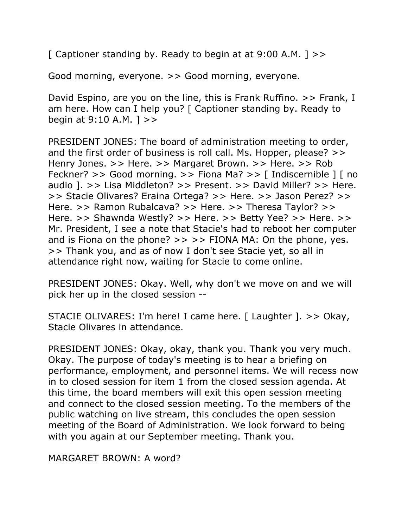[ Captioner standing by. Ready to begin at at  $9:00$  A.M. ] >>

Good morning, everyone. >> Good morning, everyone.

David Espino, are you on the line, this is Frank Ruffino. >> Frank, I am here. How can I help you? [ Captioner standing by. Ready to begin at 9:10 A.M. ] >>

PRESIDENT JONES: The board of administration meeting to order, and the first order of business is roll call. Ms. Hopper, please? >> Henry Jones. >> Here. >> Margaret Brown. >> Here. >> Rob Feckner? >> Good morning. >> Fiona Ma? >> [ Indiscernible ] [ no audio ]. >> Lisa Middleton? >> Present. >> David Miller? >> Here. >> Stacie Olivares? Eraina Ortega? >> Here. >> Jason Perez? >> Here. >> Ramon Rubalcava? >> Here. >> Theresa Taylor? >> Here. >> Shawnda Westly? >> Here. >> Betty Yee? >> Here. >> Mr. President, I see a note that Stacie's had to reboot her computer and is Fiona on the phone?  $>>$   $>>$  FIONA MA: On the phone, yes. >> Thank you, and as of now I don't see Stacie yet, so all in attendance right now, waiting for Stacie to come online.

PRESIDENT JONES: Okay. Well, why don't we move on and we will pick her up in the closed session --

STACIE OLIVARES: I'm here! I came here. [ Laughter ]. >> Okay, Stacie Olivares in attendance.

PRESIDENT JONES: Okay, okay, thank you. Thank you very much. Okay. The purpose of today's meeting is to hear a briefing on performance, employment, and personnel items. We will recess now in to closed session for item 1 from the closed session agenda. At this time, the board members will exit this open session meeting and connect to the closed session meeting. To the members of the public watching on live stream, this concludes the open session meeting of the Board of Administration. We look forward to being with you again at our September meeting. Thank you.

MARGARET BROWN: A word?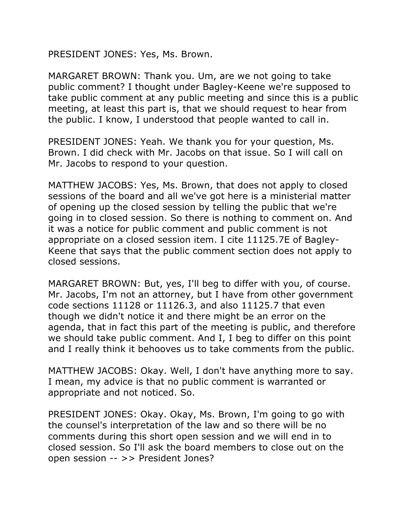PRESIDENT JONES: Yes, Ms. Brown.

MARGARET BROWN: Thank you. Um, are we not going to take public comment? I thought under Bagley-Keene we're supposed to take public comment at any public meeting and since this is a public meeting, at least this part is, that we should request to hear from the public. I know, I understood that people wanted to call in.

PRESIDENT JONES: Yeah. We thank you for your question, Ms. Brown. I did check with Mr. Jacobs on that issue. So I will call on Mr. Jacobs to respond to your question.

MATTHEW JACOBS: Yes, Ms. Brown, that does not apply to closed sessions of the board and all we've got here is a ministerial matter of opening up the closed session by telling the public that we're going in to closed session. So there is nothing to comment on. And it was a notice for public comment and public comment is not appropriate on a closed session item. I cite 11125.7E of Bagley-Keene that says that the public comment section does not apply to closed sessions.

MARGARET BROWN: But, yes, I'll beg to differ with you, of course. Mr. Jacobs, I'm not an attorney, but I have from other government code sections 11128 or 11126.3, and also 11125.7 that even though we didn't notice it and there might be an error on the agenda, that in fact this part of the meeting is public, and therefore we should take public comment. And I, I beg to differ on this point and I really think it behooves us to take comments from the public.

MATTHEW JACOBS: Okay. Well, I don't have anything more to say. I mean, my advice is that no public comment is warranted or appropriate and not noticed. So.

PRESIDENT JONES: Okay. Okay, Ms. Brown, I'm going to go with the counsel's interpretation of the law and so there will be no comments during this short open session and we will end in to closed session. So I'll ask the board members to close out on the open session -- >> President Jones?